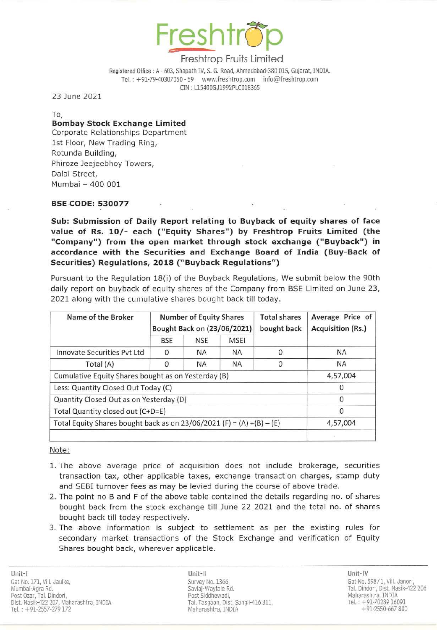

Registered Office : A - 603, Shapath IV, S. G. Road, Ahmedabad-380 015, Gujarat, INDIA. Tel.: +91-79-40307050 - 59 www.freshtrop.com info@freshtrop.com ON : LlS400GJ1992PLC018365

23 June 2021

To,

## Bombay Stock Exchange limited

Corporate Relationships Department 1st Floor, New Trading Ring, Rotunda Building, Phiroze Jeejeebhoy Towers, Dalal Street, Mumbai - 400 001

### BSECODE: 530077

Sub: Submission of Daily Report relating to Buyback of equity shares of face value of Rs. 10/- each ("Equity Shares") by Freshtrop Fruits Limited (the "Company") from the open market through stock exchange ("Buyback") in accordance with the Securities and Exchange Board of India (Buy-Back of Securities) Regulations, 2018 ("Buyback Regulations")

Pursuant to the Regulation 18(i) of the Buyback Regulations, We submit below the 90th daily report on buyback of equity shares of the Company from BSE Limited on June 23, 2021 along with the cumulative shares bought back till today.

| Name of the Broker                                                    | <b>Number of Equity Shares</b><br>Bought Back on (23/06/2021) |            |             | <b>Total shares</b><br>bought back | Average Price of<br><b>Acquisition (Rs.)</b> |
|-----------------------------------------------------------------------|---------------------------------------------------------------|------------|-------------|------------------------------------|----------------------------------------------|
|                                                                       | <b>BSE</b>                                                    | <b>NSE</b> | <b>MSEI</b> |                                    |                                              |
| Innovate Securities Pyt Ltd                                           | 0                                                             | <b>NA</b>  | <b>NA</b>   | $\Omega$                           | <b>NA</b>                                    |
| Total (A)                                                             | O                                                             | <b>NA</b>  | <b>NA</b>   | $\Omega$                           | <b>NA</b>                                    |
| Cumulative Equity Shares bought as on Yesterday (B)                   |                                                               |            |             |                                    | 4,57,004                                     |
| Less: Quantity Closed Out Today (C)                                   |                                                               |            |             |                                    | $\cup$                                       |
| Quantity Closed Out as on Yesterday (D)                               |                                                               |            |             |                                    | 0                                            |
| Total Quantity closed out (C+D=E)                                     |                                                               |            |             |                                    | $\Omega$                                     |
| Total Equity Shares bought back as on 23/06/2021 (F) = (A) +(B) - (E) | 4,57,004                                                      |            |             |                                    |                                              |
|                                                                       |                                                               |            |             |                                    |                                              |

Note:

- 1. The above average price of acquisition does not include brokerage, securities transaction tax, other applicable taxes, exchange transaction charges, stamp duty and SEBI turnover fees as may be levied during the course of above trade.
- 2. The point no B and F of the above table contained the details regarding no. of shares bought back from the stock exchange till June 22 2021 and the total no. of shares bought back till today respectively.
- 3. The above information is subject to settlement as per the existing rules for secondary market transactions of the Stock Exchange and verification of Equity Shares bought back, wherever applicable .

Unit-II Unit-IV Survey No. 1366, Savlaj·Wayfale Rd. Post Siddhewadi, Tal. Ta59aoo, Dist. Sangli-416 311, Mahara5htra, INDIA